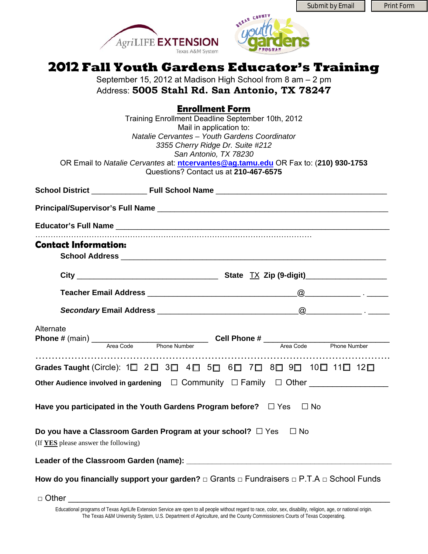Submit by Email | Print Form





# **2012 Fall Youth Gardens Educator's Training**

September 15, 2012 at Madison High School from 8 am – 2 pm Address: **5005 Stahl Rd. San Antonio, TX 78247** 

**Enrollment Form**Training Enrollment Deadline September 10th, 2012 Mail in application to: *Natalie Cervantes – Youth Gardens Coordinator 3355 Cherry Ridge Dr. Suite #212 San Antonio, TX 78230*  OR Email to *Natalie Cervantes* at: **[ntcervantes@ag.tamu.edu](mailto:ntcervantes@ag.tamu.edu)** OR Fax to: (**210) 930-1753** Questions? Contact us at **210-467-6575 School District** \_\_\_\_\_\_\_\_\_\_\_\_\_ **Full School Name** \_\_\_\_\_\_\_\_\_\_\_\_\_\_\_\_\_\_\_\_\_\_\_\_\_\_\_\_\_\_\_\_\_\_\_\_\_\_\_\_ **Principal/Supervisor's Full Name** \_\_\_\_\_\_\_\_\_\_\_\_\_\_\_\_\_\_\_\_\_\_\_\_\_\_\_\_\_\_\_\_\_\_\_\_\_\_\_\_\_\_\_\_\_\_\_\_\_\_\_\_\_\_ **Educator's Full Name** \_\_\_\_\_\_\_\_\_\_\_\_\_\_\_\_\_\_\_\_\_\_\_\_\_\_\_\_\_\_\_\_\_\_\_\_\_\_\_\_\_\_\_\_\_\_\_\_\_\_\_\_\_\_\_\_\_\_\_\_\_\_\_\_ ……………………………………………………………………………………………… **Contact Information: School Address** \_\_\_\_\_\_\_\_\_\_\_\_\_\_\_\_\_\_\_\_\_\_\_\_\_\_\_\_\_\_\_\_\_\_\_\_\_\_\_\_\_\_\_\_\_\_\_\_\_\_\_\_\_\_\_\_\_\_\_\_\_\_ **City** \_\_\_\_\_\_\_\_\_\_\_\_\_\_\_\_\_\_\_\_\_\_\_\_\_\_\_\_\_\_\_\_\_ **State** TX **Zip (9-digit)**\_\_\_\_\_\_\_\_\_\_\_\_\_\_\_\_\_\_\_ **Teacher Email Address and the set of the set of the set of the set of the set of the set of the set of the set of the set of the set of the set of the set of the set of the set of the set of the set of the set of the se** *Secondary* **Email Address** \_\_\_\_\_\_\_\_\_\_\_\_\_\_\_\_\_\_\_\_\_\_\_\_\_\_\_\_\_\_\_\_\_@\_\_\_\_\_\_\_\_\_\_\_\_\_ . \_\_\_\_\_ **Alternate Phone #** (main) \_\_\_\_\_\_\_\_\_\_\_\_\_\_\_\_\_\_\_\_\_\_\_\_\_ **Cell Phone #** \_\_\_\_\_\_\_\_\_\_\_\_\_\_\_\_\_\_\_\_\_\_\_\_\_\_\_ Area Code Phone Number Area Code Phone Number ………………………………………………………………………………………………. Grades Taught (Circle): 1□ 2 □ 3 □ 4 □ 5 □ 6 □ 7 □ 8 □ 9 □ 10 □ 11 □ 12 □ **Other Audience involved in gardening** □ Community □ Family □ Other **Have you participated in the Youth Gardens Program before?** □ Yes □ No **Do you have a Classroom Garden Program at your school?** □ Yes □ No (If **YES** please answer the following) **Leader of the Classroom Garden (name): \_\_\_\_\_\_\_\_\_\_\_\_\_\_\_\_\_\_\_\_\_\_\_\_\_\_\_\_\_\_\_\_\_\_\_\_\_\_\_\_\_\_\_\_\_\_\_\_ How do you financially support your garden?** □ Grants □ Fundraisers □ P.T.A □ School Funds

 $\Box$  Other

Educational programs of Texas AgriLife Extension Service are open to all people without regard to race, color, sex, disability, religion, age, or national origin. The Texas A&M University System, U.S. Department of Agriculture, and the County Commissioners Courts of Texas Cooperating.